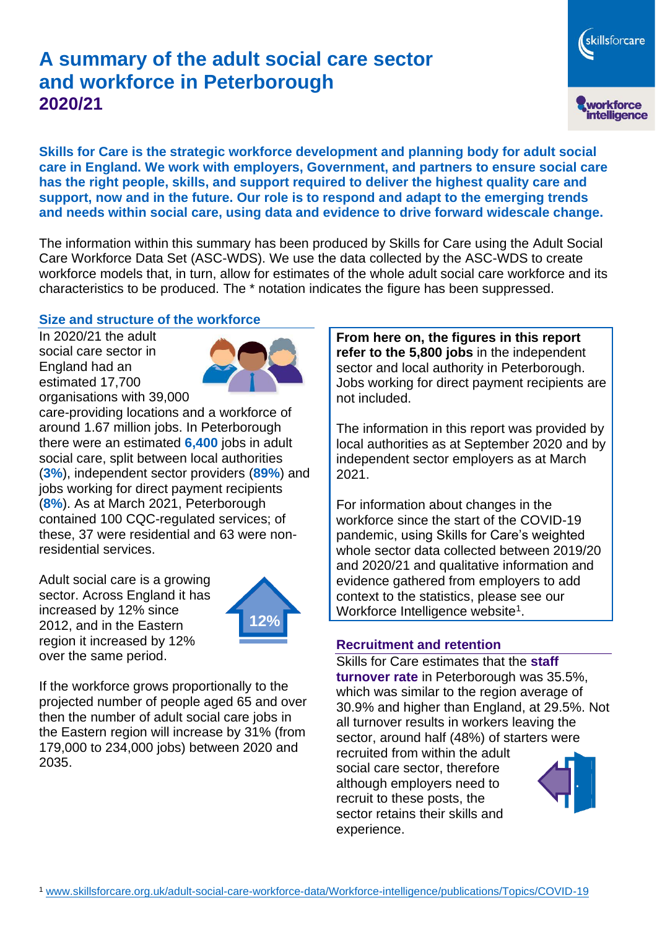# **A summary of the adult social care sector and workforce in Peterborough 2020/21**

**Skills for Care is the strategic workforce development and planning body for adult social care in England. We work with employers, Government, and partners to ensure social care has the right people, skills, and support required to deliver the highest quality care and support, now and in the future. Our role is to respond and adapt to the emerging trends and needs within social care, using data and evidence to drive forward widescale change.**

The information within this summary has been produced by Skills for Care using the Adult Social Care Workforce Data Set (ASC-WDS). We use the data collected by the ASC-WDS to create workforce models that, in turn, allow for estimates of the whole adult social care workforce and its characteristics to be produced. The \* notation indicates the figure has been suppressed.

#### **Size and structure of the workforce**

In 2020/21 the adult social care sector in England had an estimated 17,700 organisations with 39,000



care-providing locations and a workforce of around 1.67 million jobs. In Peterborough there were an estimated **6,400** jobs in adult social care, split between local authorities (**3%**), independent sector providers (**89%**) and jobs working for direct payment recipients (**8%**). As at March 2021, Peterborough contained 100 CQC-regulated services; of these, 37 were residential and 63 were nonresidential services.

Adult social care is a growing sector. Across England it has increased by 12% since 2012, and in the Eastern region it increased by 12% over the same period.



If the workforce grows proportionally to the projected number of people aged 65 and over then the number of adult social care jobs in the Eastern region will increase by 31% (from 179,000 to 234,000 jobs) between 2020 and 2035.

**From here on, the figures in this report refer to the 5,800 jobs** in the independent sector and local authority in Peterborough. Jobs working for direct payment recipients are not included.

The information in this report was provided by local authorities as at September 2020 and by independent sector employers as at March 2021.

For information about changes in the workforce since the start of the COVID-19 pandemic, using Skills for Care's weighted whole sector data collected between 2019/20 and 2020/21 and qualitative information and evidence gathered from employers to add context to the statistics, please see our Workforce Intelligence website<sup>1</sup>.

#### **Recruitment and retention**

Skills for Care estimates that the **staff turnover rate** in Peterborough was 35.5%, which was similar to the region average of 30.9% and higher than England, at 29.5%. Not all turnover results in workers leaving the sector, around half (48%) of starters were recruited from within the adult social care sector, therefore

although employers need to recruit to these posts, the sector retains their skills and experience.



skillsforcare

workforce<br>intelligence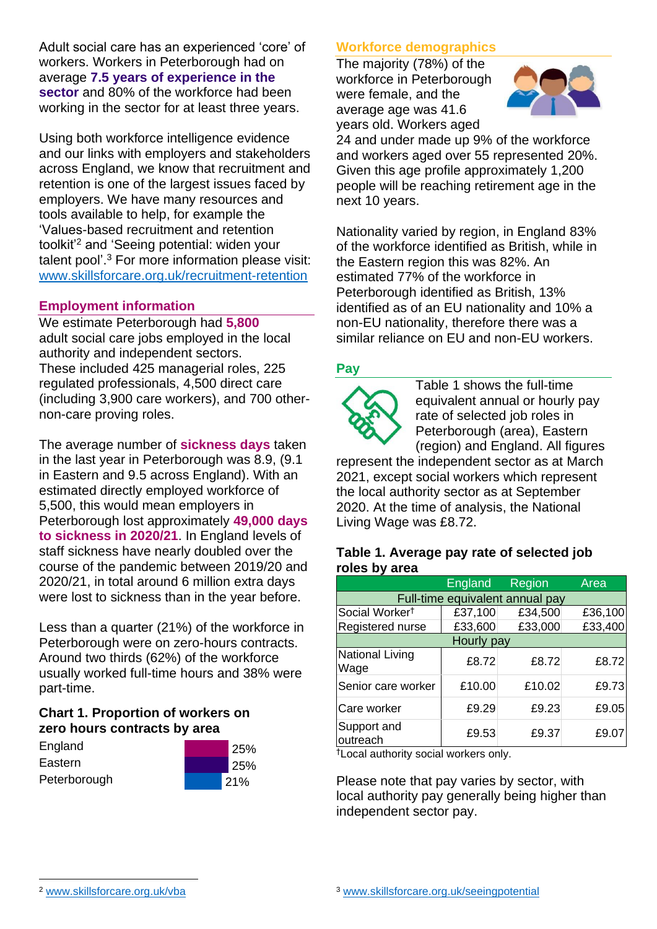Adult social care has an experienced 'core' of workers. Workers in Peterborough had on average **7.5 years of experience in the sector** and 80% of the workforce had been working in the sector for at least three years.

Using both workforce intelligence evidence and our links with employers and stakeholders across England, we know that recruitment and retention is one of the largest issues faced by employers. We have many resources and tools available to help, for example the 'Values-based recruitment and retention toolkit'<sup>2</sup> and 'Seeing potential: widen your talent pool'. <sup>3</sup> For more information please visit: [www.skillsforcare.org.uk/recruitment-retention](http://www.skillsforcare.org.uk/recruitment-retention)

#### **Employment information**

We estimate Peterborough had **5,800** adult social care jobs employed in the local authority and independent sectors. These included 425 managerial roles, 225 regulated professionals, 4,500 direct care (including 3,900 care workers), and 700 othernon-care proving roles.

The average number of **sickness days** taken in the last year in Peterborough was 8.9, (9.1 in Eastern and 9.5 across England). With an estimated directly employed workforce of 5,500, this would mean employers in Peterborough lost approximately **49,000 days to sickness in 2020/21**. In England levels of staff sickness have nearly doubled over the course of the pandemic between 2019/20 and 2020/21, in total around 6 million extra days were lost to sickness than in the year before.

Less than a quarter (21%) of the workforce in Peterborough were on zero-hours contracts. Around two thirds (62%) of the workforce usually worked full-time hours and 38% were part-time.

# **Chart 1. Proportion of workers on zero hours contracts by area**

| England      | 25%        |
|--------------|------------|
| Eastern      | <b>25%</b> |
| Peterborough | 21%        |

# **Workforce demographics**

The majority (78%) of the workforce in Peterborough were female, and the average age was 41.6 years old. Workers aged



24 and under made up 9% of the workforce and workers aged over 55 represented 20%. Given this age profile approximately 1,200 people will be reaching retirement age in the next 10 years.

Nationality varied by region, in England 83% of the workforce identified as British, while in the Eastern region this was 82%. An estimated 77% of the workforce in Peterborough identified as British, 13% identified as of an EU nationality and 10% a non-EU nationality, therefore there was a similar reliance on EU and non-EU workers.

# **Pay**



Table 1 shows the full-time equivalent annual or hourly pay rate of selected job roles in Peterborough (area), Eastern (region) and England. All figures

represent the independent sector as at March 2021, except social workers which represent the local authority sector as at September 2020. At the time of analysis, the National Living Wage was £8.72.

#### **Table 1. Average pay rate of selected job roles by area**

|                                 | <b>England</b> | Region  | <b>Area</b> |
|---------------------------------|----------------|---------|-------------|
| Full-time equivalent annual pay |                |         |             |
| Social Worker <sup>t</sup>      | £37,100        | £34,500 | £36,100     |
| Registered nurse                | £33,600        | £33,000 | £33,400     |
| Hourly pay                      |                |         |             |
| National Living<br>Wage         | £8.72          | £8.72   | £8.72       |
| Senior care worker              | £10.00         | £10.02  | £9.73       |
| Care worker                     | £9.29          | £9.23   | £9.05       |
| Support and<br>outreach         | £9.53          | £9.37   | £9.07       |

†Local authority social workers only.

Please note that pay varies by sector, with local authority pay generally being higher than independent sector pay.